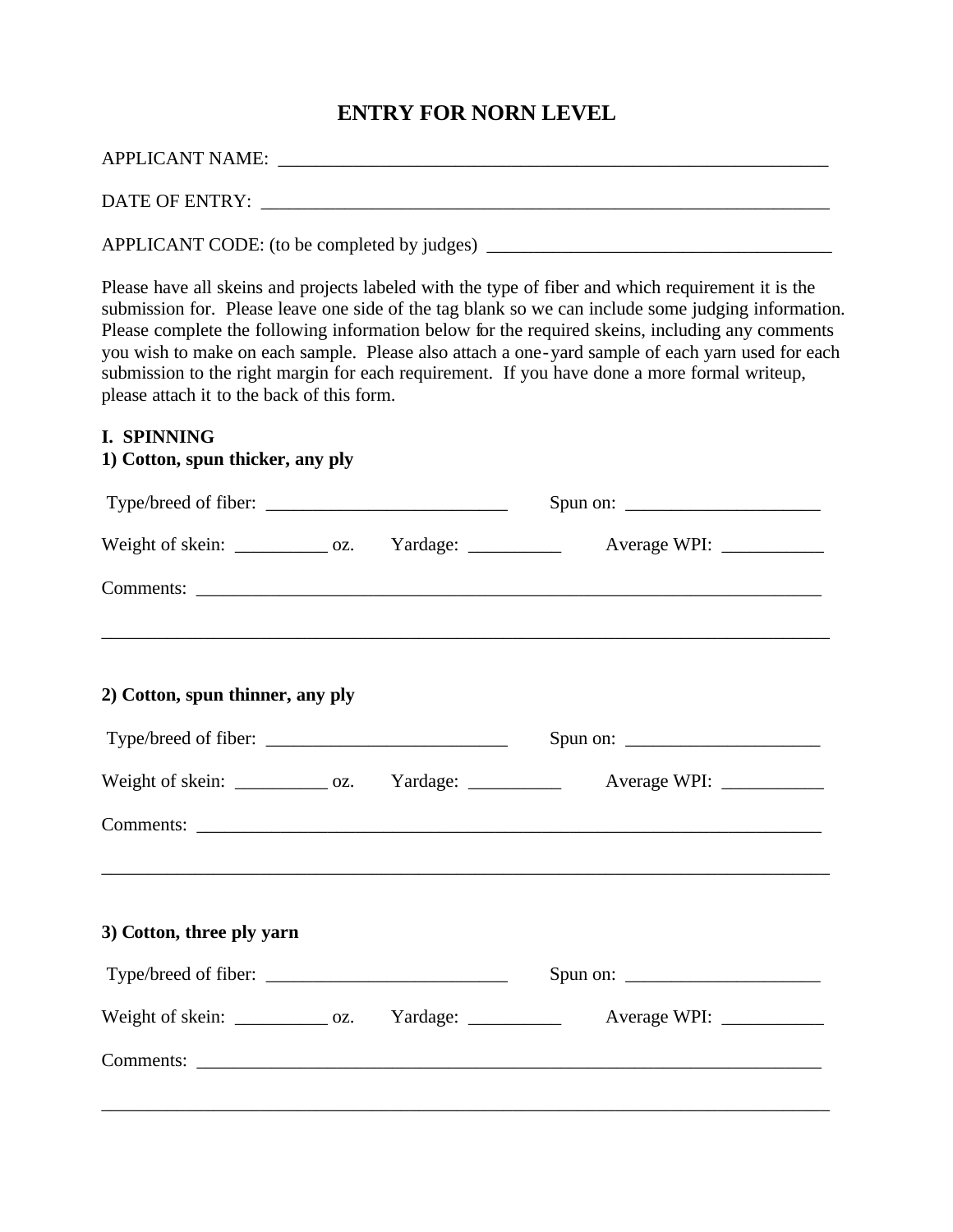## **ENTRY FOR NORN LEVEL**

| <b>APPLICANT NAME:</b> |  |  |
|------------------------|--|--|
|                        |  |  |
| DATE OF ENTRY:         |  |  |

APPLICANT CODE: (to be completed by judges) \_\_\_\_\_\_\_\_\_\_\_\_\_\_\_\_\_\_\_\_\_\_\_\_\_\_\_\_\_\_\_\_\_\_\_\_\_

Please have all skeins and projects labeled with the type of fiber and which requirement it is the submission for. Please leave one side of the tag blank so we can include some judging information. Please complete the following information below for the required skeins, including any comments you wish to make on each sample. Please also attach a one-yard sample of each yarn used for each submission to the right margin for each requirement. If you have done a more formal writeup, please attach it to the back of this form.

#### **I. SPINNING**

### **1) Cotton, spun thicker, any ply**

| Spun on: $\frac{1}{\sqrt{1-\frac{1}{2}} \cdot \frac{1}{2}}$                       |
|-----------------------------------------------------------------------------------|
| Weight of skein: _____________ oz. Yardage: ____________ Average WPI: __________  |
|                                                                                   |
|                                                                                   |
| Spun on: $\frac{1}{\sqrt{1-\frac{1}{2}} \cdot \frac{1}{2}}$                       |
| Weight of skein: _____________ oz. Yardage: ____________ Average WPI: __________  |
|                                                                                   |
|                                                                                   |
|                                                                                   |
| Weight of skein: _____________ oz. Yardage: _____________ Average WPI: __________ |
|                                                                                   |
|                                                                                   |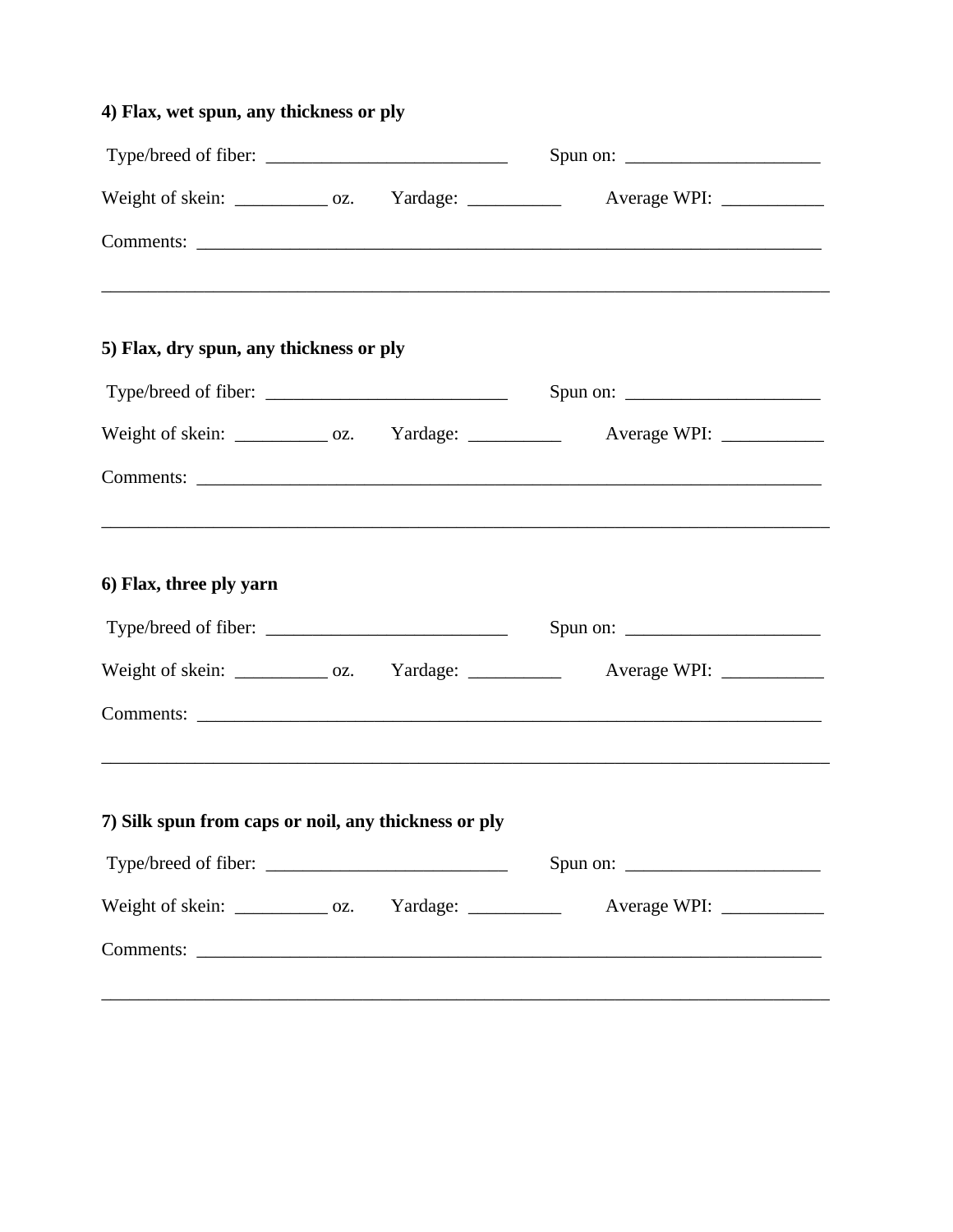| 4) Flax, wet spun, any thickness or ply                  |  |                                                                                   |
|----------------------------------------------------------|--|-----------------------------------------------------------------------------------|
| Type/breed of fiber:                                     |  | Spun on: $\frac{1}{\sqrt{1-\frac{1}{2}} \cdot \frac{1}{2}}$                       |
|                                                          |  | Weight of skein: _____________ oz. Yardage: _____________ Average WPI: __________ |
|                                                          |  |                                                                                   |
| 5) Flax, dry spun, any thickness or ply                  |  |                                                                                   |
| Type/breed of fiber:                                     |  | Spun on: $\frac{1}{\sqrt{1-\frac{1}{2}} \cdot \frac{1}{2}}$                       |
|                                                          |  | Weight of skein: _____________ oz. Yardage: ____________ Average WPI: __________  |
|                                                          |  |                                                                                   |
| 6) Flax, three ply yarn                                  |  |                                                                                   |
|                                                          |  | Spun on: $\frac{1}{\sqrt{1-\frac{1}{2}} \cdot \frac{1}{2}}$                       |
|                                                          |  | Weight of skein: _____________ oz. Yardage: ____________ Average WPI: __________  |
|                                                          |  |                                                                                   |
|                                                          |  |                                                                                   |
| 7) Silk spun from caps or noil, any thickness or ply     |  |                                                                                   |
|                                                          |  | Spun on: $\frac{1}{\sqrt{1-\frac{1}{2}} \cdot \frac{1}{2}}$                       |
| Weight of skein: _____________ oz. Yardage: ____________ |  |                                                                                   |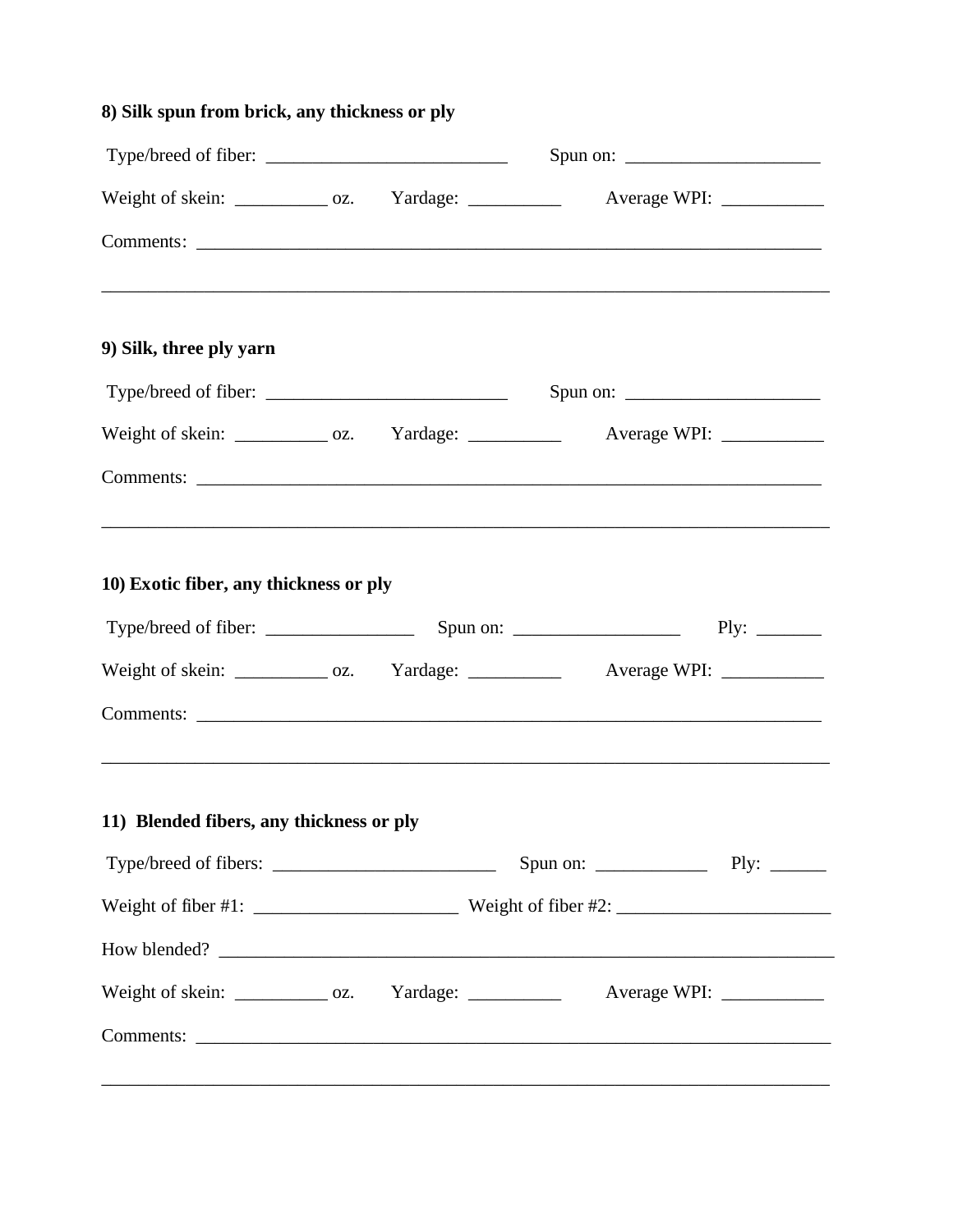| 8) Silk spun from brick, any thickness or ply                                                                               |  |                                                             |
|-----------------------------------------------------------------------------------------------------------------------------|--|-------------------------------------------------------------|
|                                                                                                                             |  |                                                             |
| Weight of skein: _____________ oz. Yardage: _____________ Average WPI: __________                                           |  |                                                             |
|                                                                                                                             |  |                                                             |
| 9) Silk, three ply yarn                                                                                                     |  |                                                             |
| Type/breed of fiber: $\sqrt{\frac{2}{1-\frac{1}{2}} \left(\frac{1}{2}-\frac{1}{2}\right)^2}$                                |  | Spun on: $\frac{1}{\sqrt{1-\frac{1}{2}} \cdot \frac{1}{2}}$ |
| Weight of skein: _____________ oz. Yardage: ____________ Average WPI: __________                                            |  |                                                             |
|                                                                                                                             |  |                                                             |
| ,我们也不能在这里的时候,我们也不能在这里的时候,我们也不能会在这里的时候,我们也不能会在这里的时候,我们也不能会在这里的时候,我们也不能会在这里的时候,我们也不<br>10) Exotic fiber, any thickness or ply |  | Ply: $\_\_$                                                 |
| Weight of skein: _____________ oz. Yardage: ____________ Average WPI: ___________                                           |  |                                                             |
| 11) Blended fibers, any thickness or ply                                                                                    |  |                                                             |
|                                                                                                                             |  |                                                             |
|                                                                                                                             |  |                                                             |
| Weight of skein: ____________ oz. Yardage: ___________ Average WPI: ___________                                             |  |                                                             |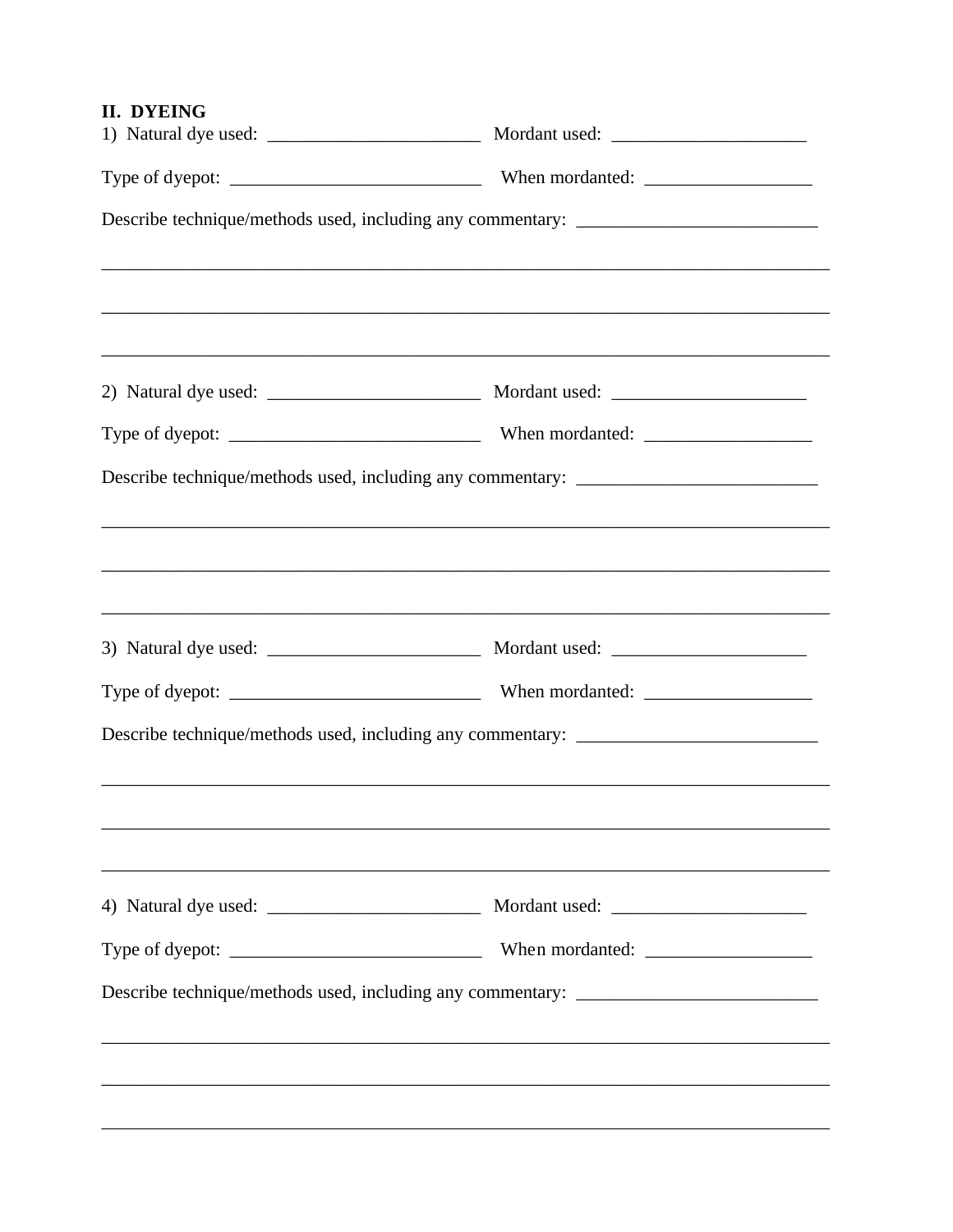## **II. DYEING**

| Describe technique/methods used, including any commentary: _____________________                                                                                     |
|----------------------------------------------------------------------------------------------------------------------------------------------------------------------|
|                                                                                                                                                                      |
|                                                                                                                                                                      |
|                                                                                                                                                                      |
| Describe technique/methods used, including any commentary: _____________________                                                                                     |
|                                                                                                                                                                      |
|                                                                                                                                                                      |
|                                                                                                                                                                      |
| Describe technique/methods used, including any commentary: _____________________                                                                                     |
|                                                                                                                                                                      |
|                                                                                                                                                                      |
|                                                                                                                                                                      |
| Describe technique/methods used, including any commentary: _____________________<br>,我们也不会有什么。""我们的人,我们也不会有什么?""我们的人,我们也不会有什么?""我们的人,我们也不会有什么?""我们的人,我们也不会有什么?""我们的人 |
|                                                                                                                                                                      |
|                                                                                                                                                                      |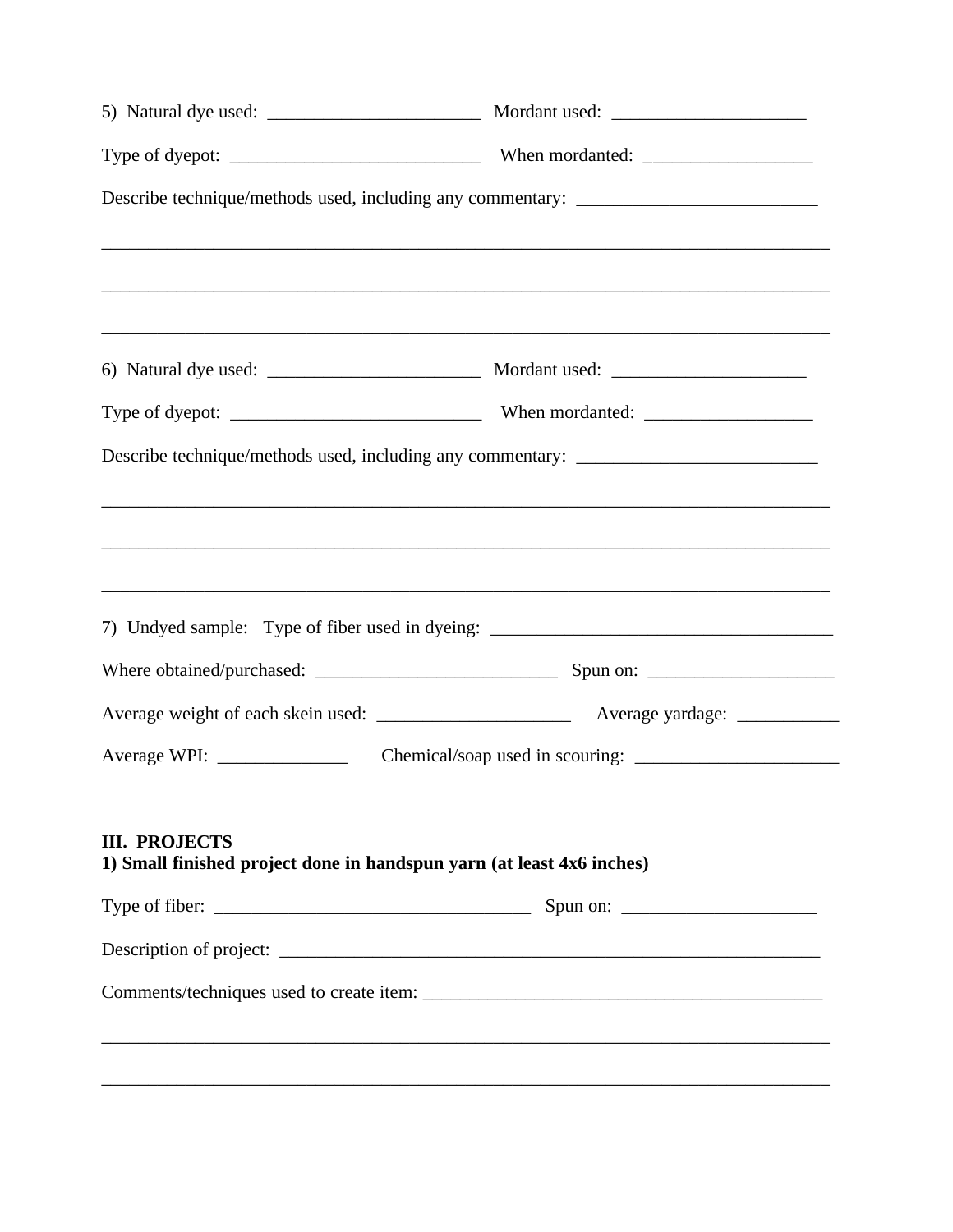| Describe technique/methods used, including any commentary: _____________________ |                                                                                   |  |
|----------------------------------------------------------------------------------|-----------------------------------------------------------------------------------|--|
|                                                                                  |                                                                                   |  |
|                                                                                  |                                                                                   |  |
|                                                                                  |                                                                                   |  |
|                                                                                  |                                                                                   |  |
|                                                                                  | Describe technique/methods used, including any commentary: _____________________  |  |
|                                                                                  |                                                                                   |  |
|                                                                                  |                                                                                   |  |
|                                                                                  |                                                                                   |  |
|                                                                                  | 7) Undyed sample: Type of fiber used in dyeing: _________________________________ |  |
|                                                                                  |                                                                                   |  |
|                                                                                  |                                                                                   |  |
|                                                                                  |                                                                                   |  |
|                                                                                  |                                                                                   |  |
| <b>III. PROJECTS</b>                                                             |                                                                                   |  |
|                                                                                  | 1) Small finished project done in handspun yarn (at least 4x6 inches)             |  |
|                                                                                  |                                                                                   |  |
|                                                                                  |                                                                                   |  |
|                                                                                  |                                                                                   |  |
|                                                                                  |                                                                                   |  |
|                                                                                  |                                                                                   |  |